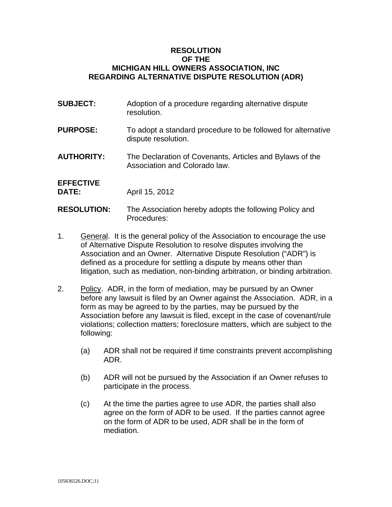## **RESOLUTION OF THE MICHIGAN HILL OWNERS ASSOCIATION, INC REGARDING ALTERNATIVE DISPUTE RESOLUTION (ADR)**

| <b>SUBJECT:</b>                  | Adoption of a procedure regarding alternative dispute<br>resolution.                      |
|----------------------------------|-------------------------------------------------------------------------------------------|
| <b>PURPOSE:</b>                  | To adopt a standard procedure to be followed for alternative<br>dispute resolution.       |
| <b>AUTHORITY:</b>                | The Declaration of Covenants, Articles and Bylaws of the<br>Association and Colorado law. |
| <b>EFFECTIVE</b><br><b>DATE:</b> | April 15, 2012                                                                            |
| <b>RESOLUTION:</b>               | The Association hereby adopts the following Policy and<br>Procedures:                     |

- 1. General. It is the general policy of the Association to encourage the use of Alternative Dispute Resolution to resolve disputes involving the Association and an Owner. Alternative Dispute Resolution ("ADR") is defined as a procedure for settling a dispute by means other than litigation, such as mediation, non-binding arbitration, or binding arbitration.
- 2. Policy. ADR, in the form of mediation, may be pursued by an Owner before any lawsuit is filed by an Owner against the Association. ADR, in a form as may be agreed to by the parties, may be pursued by the Association before any lawsuit is filed, except in the case of covenant/rule violations; collection matters; foreclosure matters, which are subject to the following:
	- (a) ADR shall not be required if time constraints prevent accomplishing ADR.
	- (b) ADR will not be pursued by the Association if an Owner refuses to participate in the process.
	- (c) At the time the parties agree to use ADR, the parties shall also agree on the form of ADR to be used. If the parties cannot agree on the form of ADR to be used, ADR shall be in the form of mediation.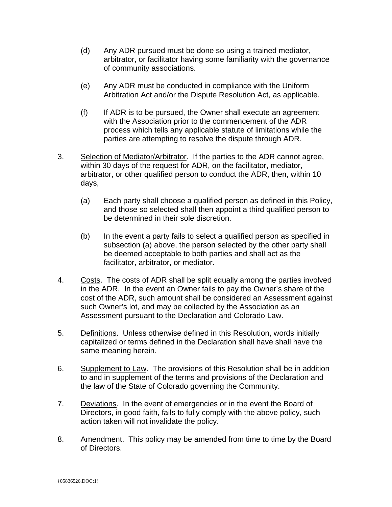- (d) Any ADR pursued must be done so using a trained mediator, arbitrator, or facilitator having some familiarity with the governance of community associations.
- (e) Any ADR must be conducted in compliance with the Uniform Arbitration Act and/or the Dispute Resolution Act, as applicable.
- (f) If ADR is to be pursued, the Owner shall execute an agreement with the Association prior to the commencement of the ADR process which tells any applicable statute of limitations while the parties are attempting to resolve the dispute through ADR.
- 3. Selection of Mediator/Arbitrator. If the parties to the ADR cannot agree, within 30 days of the request for ADR, on the facilitator, mediator, arbitrator, or other qualified person to conduct the ADR, then, within 10 days,
	- (a) Each party shall choose a qualified person as defined in this Policy, and those so selected shall then appoint a third qualified person to be determined in their sole discretion.
	- (b) In the event a party fails to select a qualified person as specified in subsection (a) above, the person selected by the other party shall be deemed acceptable to both parties and shall act as the facilitator, arbitrator, or mediator.
- 4. Costs. The costs of ADR shall be split equally among the parties involved in the ADR. In the event an Owner fails to pay the Owner's share of the cost of the ADR, such amount shall be considered an Assessment against such Owner's lot, and may be collected by the Association as an Assessment pursuant to the Declaration and Colorado Law.
- 5. Definitions. Unless otherwise defined in this Resolution, words initially capitalized or terms defined in the Declaration shall have shall have the same meaning herein.
- 6. Supplement to Law. The provisions of this Resolution shall be in addition to and in supplement of the terms and provisions of the Declaration and the law of the State of Colorado governing the Community.
- 7. Deviations. In the event of emergencies or in the event the Board of Directors, in good faith, fails to fully comply with the above policy, such action taken will not invalidate the policy.
- 8. Amendment. This policy may be amended from time to time by the Board of Directors.